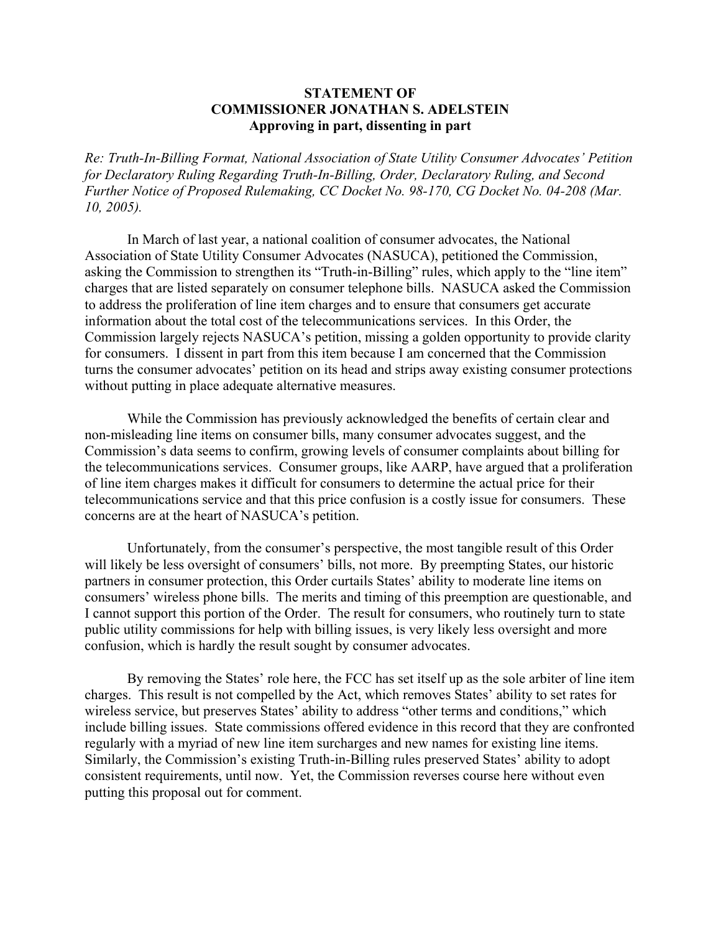## **STATEMENT OF COMMISSIONER JONATHAN S. ADELSTEIN Approving in part, dissenting in part**

*Re: Truth-In-Billing Format, National Association of State Utility Consumer Advocates' Petition for Declaratory Ruling Regarding Truth-In-Billing, Order, Declaratory Ruling, and Second Further Notice of Proposed Rulemaking, CC Docket No. 98-170, CG Docket No. 04-208 (Mar. 10, 2005).* 

 In March of last year, a national coalition of consumer advocates, the National Association of State Utility Consumer Advocates (NASUCA), petitioned the Commission, asking the Commission to strengthen its "Truth-in-Billing" rules, which apply to the "line item" charges that are listed separately on consumer telephone bills. NASUCA asked the Commission to address the proliferation of line item charges and to ensure that consumers get accurate information about the total cost of the telecommunications services. In this Order, the Commission largely rejects NASUCA's petition, missing a golden opportunity to provide clarity for consumers. I dissent in part from this item because I am concerned that the Commission turns the consumer advocates' petition on its head and strips away existing consumer protections without putting in place adequate alternative measures.

 While the Commission has previously acknowledged the benefits of certain clear and non-misleading line items on consumer bills, many consumer advocates suggest, and the Commission's data seems to confirm, growing levels of consumer complaints about billing for the telecommunications services. Consumer groups, like AARP, have argued that a proliferation of line item charges makes it difficult for consumers to determine the actual price for their telecommunications service and that this price confusion is a costly issue for consumers. These concerns are at the heart of NASUCA's petition.

 Unfortunately, from the consumer's perspective, the most tangible result of this Order will likely be less oversight of consumers' bills, not more. By preempting States, our historic partners in consumer protection, this Order curtails States' ability to moderate line items on consumers' wireless phone bills. The merits and timing of this preemption are questionable, and I cannot support this portion of the Order. The result for consumers, who routinely turn to state public utility commissions for help with billing issues, is very likely less oversight and more confusion, which is hardly the result sought by consumer advocates.

 By removing the States' role here, the FCC has set itself up as the sole arbiter of line item charges. This result is not compelled by the Act, which removes States' ability to set rates for wireless service, but preserves States' ability to address "other terms and conditions," which include billing issues. State commissions offered evidence in this record that they are confronted regularly with a myriad of new line item surcharges and new names for existing line items. Similarly, the Commission's existing Truth-in-Billing rules preserved States' ability to adopt consistent requirements, until now. Yet, the Commission reverses course here without even putting this proposal out for comment.